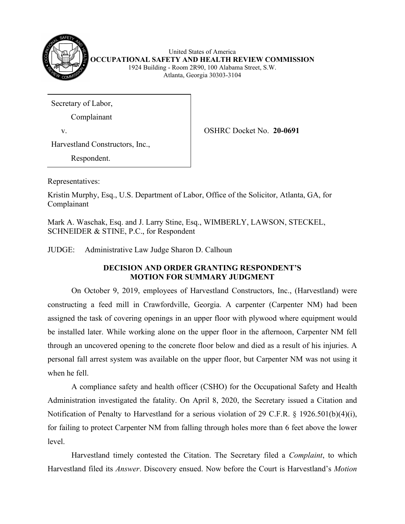

United States of America **OCCUPATIONAL SAFETY AND HEALTH REVIEW COMMISSION** 1924 Building - Room 2R90, 100 Alabama Street, S.W. Atlanta, Georgia 30303-3104

Secretary of Labor,

Complainant

v. OSHRC Docket No. **20-0691**

Harvestland Constructors, Inc.,

Respondent.

Representatives:

Kristin Murphy, Esq., U.S. Department of Labor, Office of the Solicitor, Atlanta, GA, for Complainant

Mark A. Waschak, Esq. and J. Larry Stine, Esq., WIMBERLY, LAWSON, STECKEL, SCHNEIDER & STINE, P.C., for Respondent

JUDGE: Administrative Law Judge Sharon D. Calhoun

# **DECISION AND ORDER GRANTING RESPONDENT'S MOTION FOR SUMMARY JUDGMENT**

On October 9, 2019, employees of Harvestland Constructors, Inc., (Harvestland) were constructing a feed mill in Crawfordville, Georgia. A carpenter (Carpenter NM) had been assigned the task of covering openings in an upper floor with plywood where equipment would be installed later. While working alone on the upper floor in the afternoon, Carpenter NM fell through an uncovered opening to the concrete floor below and died as a result of his injuries. A personal fall arrest system was available on the upper floor, but Carpenter NM was not using it when he fell.

A compliance safety and health officer (CSHO) for the Occupational Safety and Health Administration investigated the fatality. On April 8, 2020, the Secretary issued a Citation and Notification of Penalty to Harvestland for a serious violation of 29 C.F.R. § 1926.501(b)(4)(i), for failing to protect Carpenter NM from falling through holes more than 6 feet above the lower level.

Harvestland timely contested the Citation. The Secretary filed a *Complaint*, to which Harvestland filed its *Answer*. Discovery ensued. Now before the Court is Harvestland's *Motion*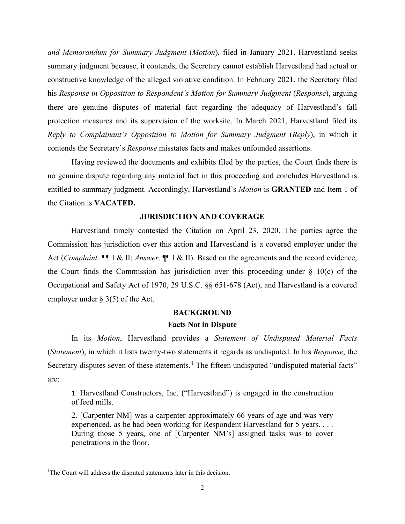*and Memorandum for Summary Judgment* (*Motion*), filed in January 2021. Harvestland seeks summary judgment because, it contends, the Secretary cannot establish Harvestland had actual or constructive knowledge of the alleged violative condition. In February 2021, the Secretary filed his *Response in Opposition to Respondent's Motion for Summary Judgment* (*Response*), arguing there are genuine disputes of material fact regarding the adequacy of Harvestland's fall protection measures and its supervision of the worksite. In March 2021, Harvestland filed its *Reply to Complainant's Opposition to Motion for Summary Judgment* (*Reply*), in which it contends the Secretary's *Response* misstates facts and makes unfounded assertions.

Having reviewed the documents and exhibits filed by the parties, the Court finds there is no genuine dispute regarding any material fact in this proceeding and concludes Harvestland is entitled to summary judgment. Accordingly, Harvestland's *Motion* is **GRANTED** and Item 1 of the Citation is **VACATED.**

### **JURISDICTION AND COVERAGE**

Harvestland timely contested the Citation on April 23, 2020. The parties agree the Commission has jurisdiction over this action and Harvestland is a covered employer under the Act (*Complaint, ¶¶* I & II; *Answer,* ¶¶ I & II). Based on the agreements and the record evidence, the Court finds the Commission has jurisdiction over this proceeding under  $\S$  10(c) of the Occupational and Safety Act of 1970, 29 U.S.C. §§ 651-678 (Act), and Harvestland is a covered employer under § 3(5) of the Act.

#### **BACKGROUND**

### **Facts Not in Dispute**

In its *Motion*, Harvestland provides a *Statement of Undisputed Material Facts* (*Statement*), in which it lists twenty-two statements it regards as undisputed. In his *Response*, the Secretary disputes seven of these statements.<sup>[1](#page-1-0)</sup> The fifteen undisputed "undisputed material facts" are:

1. Harvestland Constructors, Inc. ("Harvestland") is engaged in the construction of feed mills.

2. [Carpenter NM] was a carpenter approximately 66 years of age and was very experienced, as he had been working for Respondent Harvestland for 5 years. . . . During those 5 years, one of [Carpenter NM's] assigned tasks was to cover penetrations in the floor.

<span id="page-1-0"></span><sup>&</sup>lt;sup>1</sup>The Court will address the disputed statements later in this decision.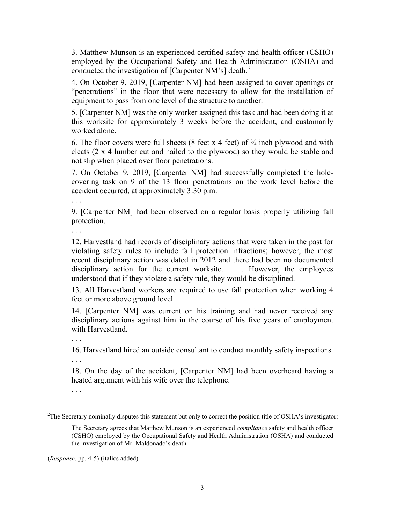3. Matthew Munson is an experienced certified safety and health officer (CSHO) employed by the Occupational Safety and Health Administration (OSHA) and conducted the investigation of [Carpenter NM's] death. $2$ 

4. On October 9, 2019, [Carpenter NM] had been assigned to cover openings or "penetrations" in the floor that were necessary to allow for the installation of equipment to pass from one level of the structure to another.

5. [Carpenter NM] was the only worker assigned this task and had been doing it at this worksite for approximately 3 weeks before the accident, and customarily worked alone.

6. The floor covers were full sheets (8 feet x 4 feet) of  $\frac{3}{4}$  inch plywood and with cleats (2 x 4 lumber cut and nailed to the plywood) so they would be stable and not slip when placed over floor penetrations.

7. On October 9, 2019, [Carpenter NM] had successfully completed the holecovering task on 9 of the 13 floor penetrations on the work level before the accident occurred, at approximately 3:30 p.m.

. . .

9. [Carpenter NM] had been observed on a regular basis properly utilizing fall protection.

. . .

12. Harvestland had records of disciplinary actions that were taken in the past for violating safety rules to include fall protection infractions; however, the most recent disciplinary action was dated in 2012 and there had been no documented disciplinary action for the current worksite. . . . However, the employees understood that if they violate a safety rule, they would be disciplined.

13. All Harvestland workers are required to use fall protection when working 4 feet or more above ground level.

14. [Carpenter NM] was current on his training and had never received any disciplinary actions against him in the course of his five years of employment with Harvestland.

. . .

16. Harvestland hired an outside consultant to conduct monthly safety inspections.

. . .

18. On the day of the accident, [Carpenter NM] had been overheard having a heated argument with his wife over the telephone.

. . .

(*Response*, pp. 4-5) (italics added)

<span id="page-2-0"></span><sup>&</sup>lt;sup>2</sup>The Secretary nominally disputes this statement but only to correct the position title of OSHA's investigator:

The Secretary agrees that Matthew Munson is an experienced *compliance* safety and health officer (CSHO) employed by the Occupational Safety and Health Administration (OSHA) and conducted the investigation of Mr. Maldonado's death.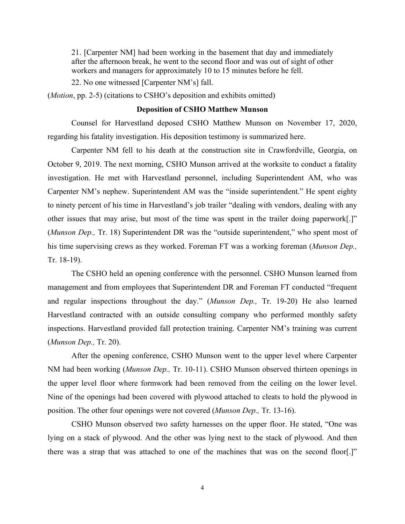21. [Carpenter NM] had been working in the basement that day and immediately after the afternoon break, he went to the second floor and was out of sight of other workers and managers for approximately 10 to 15 minutes before he fell.

22. No one witnessed [Carpenter NM's] fall.

(*Motion*, pp. 2-5) (citations to CSHO's deposition and exhibits omitted)

## **Deposition of CSHO Matthew Munson**

Counsel for Harvestland deposed CSHO Matthew Munson on November 17, 2020, regarding his fatality investigation. His deposition testimony is summarized here.

Carpenter NM fell to his death at the construction site in Crawfordville, Georgia, on October 9, 2019. The next morning, CSHO Munson arrived at the worksite to conduct a fatality investigation. He met with Harvestland personnel, including Superintendent AM, who was Carpenter NM's nephew. Superintendent AM was the "inside superintendent." He spent eighty to ninety percent of his time in Harvestland's job trailer "dealing with vendors, dealing with any other issues that may arise, but most of the time was spent in the trailer doing paperwork[.]" (*Munson Dep.,* Tr. 18) Superintendent DR was the "outside superintendent," who spent most of his time supervising crews as they worked. Foreman FT was a working foreman (*Munson Dep.,*  Tr. 18-19).

The CSHO held an opening conference with the personnel. CSHO Munson learned from management and from employees that Superintendent DR and Foreman FT conducted "frequent and regular inspections throughout the day." (*Munson Dep.,* Tr. 19-20) He also learned Harvestland contracted with an outside consulting company who performed monthly safety inspections. Harvestland provided fall protection training. Carpenter NM's training was current (*Munson Dep.,* Tr. 20).

After the opening conference, CSHO Munson went to the upper level where Carpenter NM had been working (*Munson Dep.,* Tr. 10-11). CSHO Munson observed thirteen openings in the upper level floor where formwork had been removed from the ceiling on the lower level. Nine of the openings had been covered with plywood attached to cleats to hold the plywood in position. The other four openings were not covered (*Munson Dep.,* Tr. 13-16).

CSHO Munson observed two safety harnesses on the upper floor. He stated, "One was lying on a stack of plywood. And the other was lying next to the stack of plywood. And then there was a strap that was attached to one of the machines that was on the second floor[.]"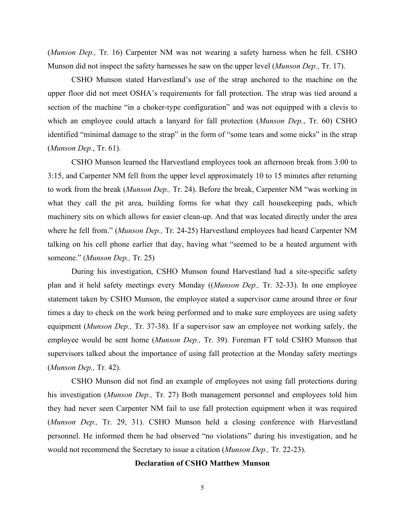(*Munson Dep.,* Tr. 16) Carpenter NM was not wearing a safety harness when he fell. CSHO Munson did not inspect the safety harnesses he saw on the upper level (*Munson Dep.,* Tr. 17).

CSHO Munson stated Harvestland's use of the strap anchored to the machine on the upper floor did not meet OSHA's requirements for fall protection. The strap was tied around a section of the machine "in a choker-type configuration" and was not equipped with a clevis to which an employee could attach a lanyard for fall protection (*Munson Dep.*, Tr. 60) CSHO identified "minimal damage to the strap" in the form of "some tears and some nicks" in the strap (*Munson Dep.*, Tr. 61).

CSHO Munson learned the Harvestland employees took an afternoon break from 3:00 to 3:15, and Carpenter NM fell from the upper level approximately 10 to 15 minutes after returning to work from the break (*Munson Dep.,* Tr. 24). Before the break, Carpenter NM "was working in what they call the pit area, building forms for what they call house keeping pads, which machinery sits on which allows for easier clean-up. And that was located directly under the area where he fell from." (*Munson Dep.,* Tr. 24-25) Harvestland employees had heard Carpenter NM talking on his cell phone earlier that day, having what "seemed to be a heated argument with someone." (*Munson Dep.,* Tr. 25)

During his investigation, CSHO Munson found Harvestland had a site-specific safety plan and it held safety meetings every Monday ((*Munson Dep.,* Tr. 32-33). In one employee statement taken by CSHO Munson, the employee stated a supervisor came around three or four times a day to check on the work being performed and to make sure employees are using safety equipment (*Munson Dep.,* Tr. 37-38). If a supervisor saw an employee not working safely, the employee would be sent home (*Munson Dep.,* Tr. 39). Foreman FT told CSHO Munson that supervisors talked about the importance of using fall protection at the Monday safety meetings (*Munson Dep.,* Tr. 42).

CSHO Munson did not find an example of employees not using fall protections during his investigation (*Munson Dep.,* Tr. 27) Both management personnel and employees told him they had never seen Carpenter NM fail to use fall protection equipment when it was required (*Munson Dep.,* Tr. 29, 31). CSHO Munson held a closing conference with Harvestland personnel. He informed them he had observed "no violations" during his investigation, and he would not recommend the Secretary to issue a citation (*Munson Dep.,* Tr. 22-23).

### **Declaration of CSHO Matthew Munson**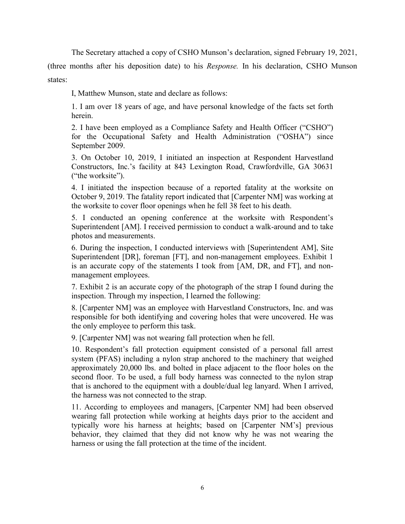The Secretary attached a copy of CSHO Munson's declaration, signed February 19, 2021,

(three months after his deposition date) to his *Response.* In his declaration, CSHO Munson states:

I, Matthew Munson, state and declare as follows:

1. I am over 18 years of age, and have personal knowledge of the facts set forth herein.

2. I have been employed as a Compliance Safety and Health Officer ("CSHO") for the Occupational Safety and Health Administration ("OSHA") since September 2009.

3. On October 10, 2019, I initiated an inspection at Respondent Harvestland Constructors, Inc.'s facility at 843 Lexington Road, Crawfordville, GA 30631 ("the worksite").

4. I initiated the inspection because of a reported fatality at the worksite on October 9, 2019. The fatality report indicated that [Carpenter NM] was working at the worksite to cover floor openings when he fell 38 feet to his death.

5. I conducted an opening conference at the worksite with Respondent's Superintendent [AM]. I received permission to conduct a walk-around and to take photos and measurements.

6. During the inspection, I conducted interviews with [Superintendent AM], Site Superintendent [DR], foreman [FT], and non-management employees. Exhibit 1 is an accurate copy of the statements I took from [AM, DR, and FT], and nonmanagement employees.

7. Exhibit 2 is an accurate copy of the photograph of the strap I found during the inspection. Through my inspection, I learned the following:

8. [Carpenter NM] was an employee with Harvestland Constructors, Inc. and was responsible for both identifying and covering holes that were uncovered. He was the only employee to perform this task.

9. [Carpenter NM] was not wearing fall protection when he fell.

10. Respondent's fall protection equipment consisted of a personal fall arrest system (PFAS) including a nylon strap anchored to the machinery that weighed approximately 20,000 lbs. and bolted in place adjacent to the floor holes on the second floor. To be used, a full body harness was connected to the nylon strap that is anchored to the equipment with a double/dual leg lanyard. When I arrived, the harness was not connected to the strap.

11. According to employees and managers, [Carpenter NM] had been observed wearing fall protection while working at heights days prior to the accident and typically wore his harness at heights; based on [Carpenter NM's] previous behavior, they claimed that they did not know why he was not wearing the harness or using the fall protection at the time of the incident.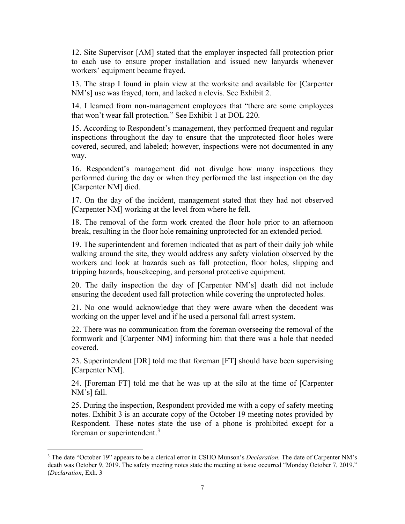12. Site Supervisor [AM] stated that the employer inspected fall protection prior to each use to ensure proper installation and issued new lanyards whenever workers' equipment became frayed.

13. The strap I found in plain view at the worksite and available for [Carpenter NM's] use was frayed, torn, and lacked a clevis. See Exhibit 2.

14. I learned from non-management employees that "there are some employees that won't wear fall protection." See Exhibit 1 at DOL 220.

15. According to Respondent's management, they performed frequent and regular inspections throughout the day to ensure that the unprotected floor holes were covered, secured, and labeled; however, inspections were not documented in any way.

16. Respondent's management did not divulge how many inspections they performed during the day or when they performed the last inspection on the day [Carpenter NM] died.

17. On the day of the incident, management stated that they had not observed [Carpenter NM] working at the level from where he fell.

18. The removal of the form work created the floor hole prior to an afternoon break, resulting in the floor hole remaining unprotected for an extended period.

19. The superintendent and foremen indicated that as part of their daily job while walking around the site, they would address any safety violation observed by the workers and look at hazards such as fall protection, floor holes, slipping and tripping hazards, housekeeping, and personal protective equipment.

20. The daily inspection the day of [Carpenter NM's] death did not include ensuring the decedent used fall protection while covering the unprotected holes.

21. No one would acknowledge that they were aware when the decedent was working on the upper level and if he used a personal fall arrest system.

22. There was no communication from the foreman overseeing the removal of the formwork and [Carpenter NM] informing him that there was a hole that needed covered.

23. Superintendent [DR] told me that foreman [FT] should have been supervising [Carpenter NM].

24. [Foreman FT] told me that he was up at the silo at the time of [Carpenter NM's] fall.

25. During the inspection, Respondent provided me with a copy of safety meeting notes. Exhibit 3 is an accurate copy of the October 19 meeting notes provided by Respondent. These notes state the use of a phone is prohibited except for a foreman or superintendent.<sup>[3](#page-6-0)</sup>

<span id="page-6-0"></span><sup>3</sup> The date "October 19" appears to be a clerical error in CSHO Munson's *Declaration.* The date of Carpenter NM's death was October 9, 2019. The safety meeting notes state the meeting at issue occurred "Monday October 7, 2019." (*Declaration*, Exh. 3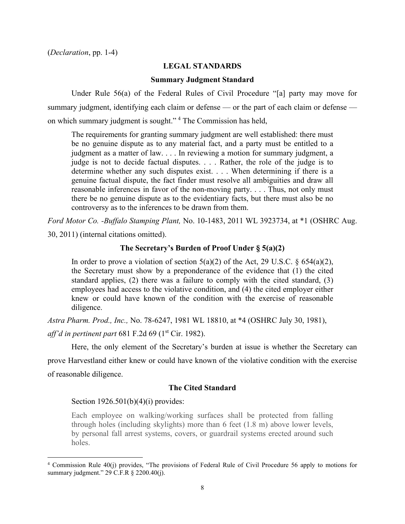### **LEGAL STANDARDS**

### **Summary Judgment Standard**

Under Rule 56(a) of the Federal Rules of Civil Procedure "[a] party may move for summary judgment, identifying each claim or defense — or the part of each claim or defense — on which summary judgment is sought."<sup>[4](#page-7-0)</sup> The Commission has held,

The requirements for granting summary judgment are well established: there must be no genuine dispute as to any material fact, and a party must be entitled to a judgment as a matter of law. . . . In reviewing a motion for summary judgment, a judge is not to decide factual disputes. . . . Rather, the role of the judge is to determine whether any such disputes exist. . . . When determining if there is a genuine factual dispute, the fact finder must resolve all ambiguities and draw all reasonable inferences in favor of the non-moving party. . . . Thus, not only must there be no genuine dispute as to the evidentiary facts, but there must also be no controversy as to the inferences to be drawn from them.

*Ford Motor Co. -Buffalo Stamping Plant,* No. 10-1483, 2011 WL 3923734, at \*1 (OSHRC Aug.

30, 2011) (internal citations omitted).

### **The Secretary's Burden of Proof Under § 5(a)(2)**

In order to prove a violation of section  $5(a)(2)$  of the Act, 29 U.S.C. § 654(a)(2), the Secretary must show by a preponderance of the evidence that (1) the cited standard applies, (2) there was a failure to comply with the cited standard, (3) employees had access to the violative condition, and (4) the cited employer either knew or could have known of the condition with the exercise of reasonable diligence.

*Astra Pharm. Prod., Inc.,* No. 78-6247, 1981 WL 18810, at \*4 (OSHRC July 30, 1981),

*aff'd in pertinent part 681 F.2d 69 (1<sup>st</sup> Cir. 1982).* 

Here, the only element of the Secretary's burden at issue is whether the Secretary can

prove Harvestland either knew or could have known of the violative condition with the exercise of reasonable diligence.

## **The Cited Standard**

### Section 1926.501(b)(4)(i) provides:

Each employee on walking/working surfaces shall be protected from falling through holes (including skylights) more than 6 feet (1.8 m) above lower levels, by personal fall arrest systems, covers, or guardrail systems erected around such holes.

<span id="page-7-0"></span><sup>4</sup> Commission Rule 40(j) provides, "The provisions of Federal Rule of Civil Procedure 56 apply to motions for summary judgment." 29 C.F.R § 2200.40(j).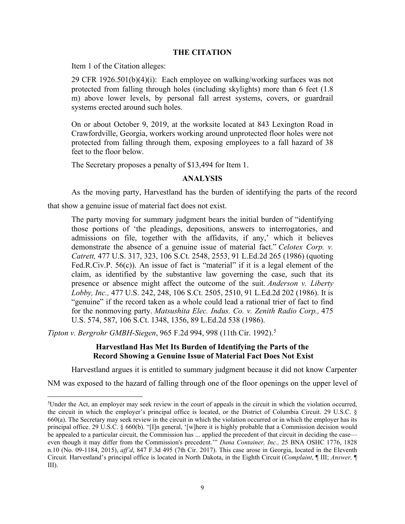## **THE CITATION**

Item 1 of the Citation alleges:

29 CFR 1926.501(b)(4)(i): Each employee on walking/working surfaces was not protected from falling through holes (including skylights) more than 6 feet (1.8 m) above lower levels, by personal fall arrest systems, covers, or guardrail systems erected around such holes.

On or about October 9, 2019, at the worksite located at 843 Lexington Road in Crawfordville, Georgia, workers working around unprotected floor holes were not protected from falling through them, exposing employees to a fall hazard of 38 feet to the floor below.

The Secretary proposes a penalty of \$13,494 for Item 1.

## **ANALYSIS**

As the moving party, Harvestland has the burden of identifying the parts of the record

that show a genuine issue of material fact does not exist.

The party moving for summary judgment bears the initial burden of "identifying those portions of 'the pleadings, depositions, answers to interrogatories, and admissions on file, together with the affidavits, if any,' which it believes demonstrate the absence of a genuine issue of material fact." *Celotex Corp. v. Catrett,* 477 U.S. 317, 323, 106 S.Ct. 2548, 2553, 91 L.Ed.2d 265 (1986) (quoting Fed.R.Civ.P. 56(c)). An issue of fact is "material" if it is a legal element of the claim, as identified by the substantive law governing the case, such that its presence or absence might affect the outcome of the suit. *Anderson v. Liberty Lobby, Inc.,* 477 U.S. 242, 248, 106 S.Ct. 2505, 2510, 91 L.Ed.2d 202 (1986). It is "genuine" if the record taken as a whole could lead a rational trier of fact to find for the nonmoving party. *Matsushita Elec. Indus. Co. v. Zenith Radio Corp.,* 475 U.S. 574, 587, 106 S.Ct. 1348, 1356, 89 L.Ed.2d 538 (1986).

*Tipton v. Bergrohr GMBH-Siegen*, 965 F.2d 994, 998 (11th Cir. 1992).[5](#page-8-0)

## **Harvestland Has Met Its Burden of Identifying the Parts of the Record Showing a Genuine Issue of Material Fact Does Not Exist**

Harvestland argues it is entitled to summary judgment because it did not know Carpenter

NM was exposed to the hazard of falling through one of the floor openings on the upper level of

<span id="page-8-0"></span><sup>&</sup>lt;sup>5</sup>Under the Act, an employer may seek review in the court of appeals in the circuit in which the violation occurred, the circuit in which the employer's principal office is located, or the District of Columbia Circuit. 29 U.S.C. § 660(a). The Secretary may seek review in the circuit in which the violation occurred or in which the employer has its principal office. 29 U.S.C. § 660(b). "[I]n general, '[w]here it is highly probable that a Commission decision would be appealed to a particular circuit, the Commission has ... applied the precedent of that circuit in deciding the case even though it may differ from the Commission's precedent.'" *Dana Container, Inc.,* 25 BNA OSHC 1776, 1828 n.10 (No. 09-1184, 2015), *aff'd*, 847 F.3d 495 (7th Cir. 2017). This case arose in Georgia, located in the Eleventh Circuit. Harvestland's principal office is located in North Dakota, in the Eighth Circuit (*Complaint*, ¶ III; *Answer,* ¶ III).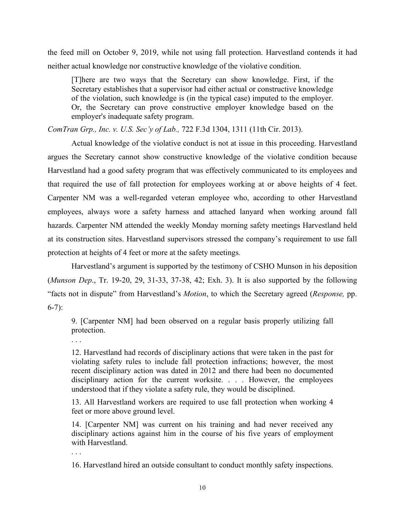the feed mill on October 9, 2019, while not using fall protection. Harvestland contends it had neither actual knowledge nor constructive knowledge of the violative condition.

[T]here are two ways that the Secretary can show knowledge. First, if the Secretary establishes that a supervisor had either actual or constructive knowledge of the violation, such knowledge is (in the typical case) imputed to the employer. Or, the Secretary can prove constructive employer knowledge based on the employer's inadequate safety program.

*ComTran Grp., Inc. v. U.S. Sec'y of Lab.,* 722 F.3d 1304, 1311 (11th Cir. 2013).

Actual knowledge of the violative conduct is not at issue in this proceeding. Harvestland argues the Secretary cannot show constructive knowledge of the violative condition because Harvestland had a good safety program that was effectively communicated to its employees and that required the use of fall protection for employees working at or above heights of 4 feet. Carpenter NM was a well-regarded veteran employee who, according to other Harvestland employees, always wore a safety harness and attached lanyard when working around fall hazards. Carpenter NM attended the weekly Monday morning safety meetings Harvestland held at its construction sites. Harvestland supervisors stressed the company's requirement to use fall protection at heights of 4 feet or more at the safety meetings.

 Harvestland's argument is supported by the testimony of CSHO Munson in his deposition (*Munson Dep*., Tr. 19-20, 29, 31-33, 37-38, 42; Exh. 3). It is also supported by the following "facts not in dispute" from Harvestland's *Motion*, to which the Secretary agreed (*Response,* pp. 6-7):

9. [Carpenter NM] had been observed on a regular basis properly utilizing fall protection.

. . .

12. Harvestland had records of disciplinary actions that were taken in the past for violating safety rules to include fall protection infractions; however, the most recent disciplinary action was dated in 2012 and there had been no documented disciplinary action for the current worksite. . . . However, the employees understood that if they violate a safety rule, they would be disciplined.

13. All Harvestland workers are required to use fall protection when working 4 feet or more above ground level.

14. [Carpenter NM] was current on his training and had never received any disciplinary actions against him in the course of his five years of employment with Harvestland.

. . .

16. Harvestland hired an outside consultant to conduct monthly safety inspections.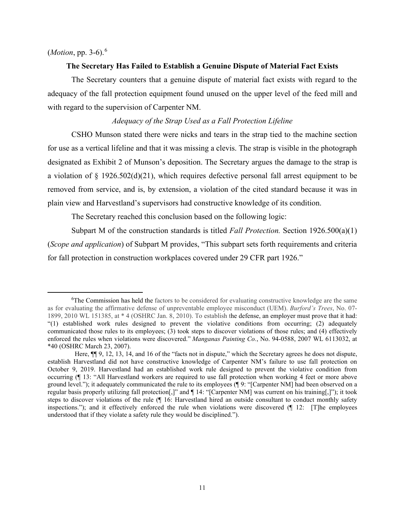## (*Motion*, pp. 3-6).[6](#page-10-0)

### **The Secretary Has Failed to Establish a Genuine Dispute of Material Fact Exists**

The Secretary counters that a genuine dispute of material fact exists with regard to the adequacy of the fall protection equipment found unused on the upper level of the feed mill and with regard to the supervision of Carpenter NM.

### *Adequacy of the Strap Used as a Fall Protection Lifeline*

CSHO Munson stated there were nicks and tears in the strap tied to the machine section for use as a vertical lifeline and that it was missing a clevis. The strap is visible in the photograph designated as Exhibit 2 of Munson's deposition. The Secretary argues the damage to the strap is a violation of § 1926.502(d)(21), which requires defective personal fall arrest equipment to be removed from service, and is, by extension, a violation of the cited standard because it was in plain view and Harvestland's supervisors had constructive knowledge of its condition.

The Secretary reached this conclusion based on the following logic:

Subpart M of the construction standards is titled *Fall Protection.* Section 1926.500(a)(1) (*Scope and application*) of Subpart M provides, "This subpart sets forth requirements and criteria for fall protection in construction workplaces covered under 29 CFR part 1926."

<span id="page-10-0"></span><sup>&</sup>lt;sup>6</sup>The Commission has held the factors to be considered for evaluating constructive knowledge are the same as for evaluating the affirmative defense of unpreventable employee misconduct (UEM). *Burford's Trees*, No. 07- 1899, 2010 WL 151385, at \* 4 (OSHRC Jan. 8, 2010). To establish the defense, an employer must prove that it had: "(1) established work rules designed to prevent the violative conditions from occurring; (2) adequately communicated those rules to its employees; (3) took steps to discover violations of those rules; and (4) effectively enforced the rules when violations were discovered." *Manganas Painting Co.*, No. 94-0588, 2007 WL 6113032, at \*40 (OSHRC March 23, 2007).

Here, ¶¶ 9, 12, 13, 14, and 16 of the "facts not in dispute," which the Secretary agrees he does not dispute, establish Harvestland did not have constructive knowledge of Carpenter NM's failure to use fall protection on October 9, 2019. Harvestland had an established work rule designed to prevent the violative condition from occurring (¶ 13: "All Harvestland workers are required to use fall protection when working 4 feet or more above ground level."); it adequately communicated the rule to its employees (¶ 9: "[Carpenter NM] had been observed on a regular basis properly utilizing fall protection[,]" and ¶ 14: "[Carpenter NM] was current on his training[,]"); it took steps to discover violations of the rule (¶ 16: Harvestland hired an outside consultant to conduct monthly safety inspections."); and it effectively enforced the rule when violations were discovered (¶ 12: [T]he employees understood that if they violate a safety rule they would be disciplined.").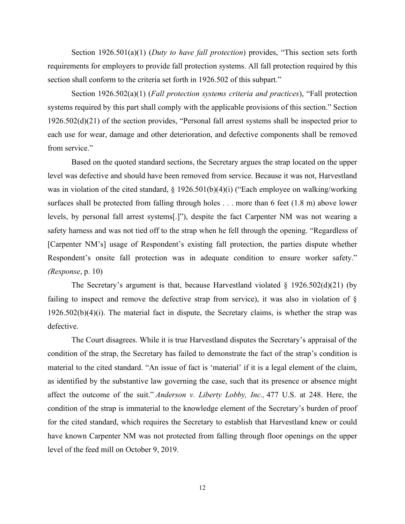Section 1926.501(a)(1) (*Duty to have fall protection*) provides, "This section sets forth requirements for employers to provide fall protection systems. All fall protection required by this section shall conform to the criteria set forth in 1926.502 of this subpart."

Section 1926.502(a)(1) (*Fall protection systems criteria and practices*), "Fall protection systems required by this part shall comply with the applicable provisions of this section." Section 1926.502(d)(21) of the section provides, "Personal fall arrest systems shall be inspected prior to each use for wear, damage and other deterioration, and defective components shall be removed from service."

Based on the quoted standard sections, the Secretary argues the strap located on the upper level was defective and should have been removed from service. Because it was not, Harvestland was in violation of the cited standard, § 1926.501(b)(4)(i) ("Each employee on walking/working surfaces shall be protected from falling through holes . . . more than 6 feet (1.8 m) above lower levels, by personal fall arrest systems[.]"), despite the fact Carpenter NM was not wearing a safety harness and was not tied off to the strap when he fell through the opening. "Regardless of [Carpenter NM's] usage of Respondent's existing fall protection, the parties dispute whether Respondent's onsite fall protection was in adequate condition to ensure worker safety." *(Response*, p. 10)

The Secretary's argument is that, because Harvestland violated  $\S$  1926.502(d)(21) (by failing to inspect and remove the defective strap from service), it was also in violation of § 1926.502(b)(4)(i). The material fact in dispute, the Secretary claims, is whether the strap was defective.

The Court disagrees. While it is true Harvestland disputes the Secretary's appraisal of the condition of the strap, the Secretary has failed to demonstrate the fact of the strap's condition is material to the cited standard. "An issue of fact is 'material' if it is a legal element of the claim, as identified by the substantive law governing the case, such that its presence or absence might affect the outcome of the suit." *Anderson v. Liberty Lobby, Inc.,* 477 U.S. at 248. Here, the condition of the strap is immaterial to the knowledge element of the Secretary's burden of proof for the cited standard, which requires the Secretary to establish that Harvestland knew or could have known Carpenter NM was not protected from falling through floor openings on the upper level of the feed mill on October 9, 2019.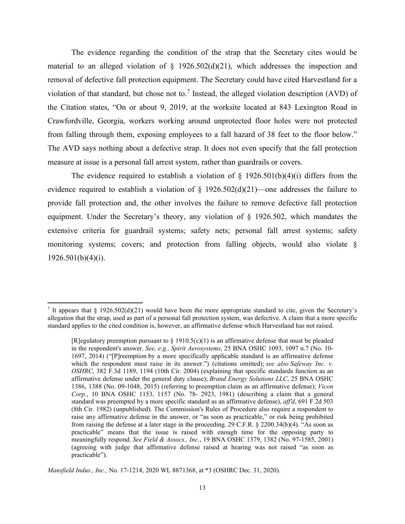The evidence regarding the condition of the strap that the Secretary cites would be material to an alleged violation of  $\S$  1926.502(d)(21), which addresses the inspection and removal of defective fall protection equipment. The Secretary could have cited Harvestland for a violation of that standard, but chose not to.<sup>[7](#page-12-0)</sup> Instead, the alleged violation description (AVD) of the Citation states, "On or about 9, 2019, at the worksite located at 843 Lexington Road in Crawfordville, Georgia, workers working around unprotected floor holes were not protected from falling through them, exposing employees to a fall hazard of 38 feet to the floor below." The AVD says nothing about a defective strap. It does not even specify that the fall protection measure at issue is a personal fall arrest system, rather than guardrails or covers.

The evidence required to establish a violation of  $\S$  1926.501(b)(4)(i) differs from the evidence required to establish a violation of  $\S$  1926.502(d)(21)—one addresses the failure to provide fall protection and, the other involves the failure to remove defective fall protection equipment. Under the Secretary's theory, any violation of § 1926.502, which mandates the extensive criteria for guardrail systems; safety nets; personal fall arrest systems; safety monitoring systems; covers; and protection from falling objects, would also violate §  $1926.501(b)(4)(i)$ .

*Mansfield Indus., Inc.,* No. 17-1214, 2020 WL 8871368, at \*3 (OSHRC Dec. 31, 2020).

<span id="page-12-0"></span><sup>&</sup>lt;sup>7</sup> It appears that  $\S$  1926.502(d)(21) would have been the more appropriate standard to cite, given the Secretary's allegation that the strap, used as part of a personal fall protection system, was defective. A claim that a more specific standard applies to the cited condition is, however, an affirmative defense which Harvestland has not raised.

<sup>[</sup>R]egulatory preemption pursuant to  $\S 1910.5(c)(1)$  is an affirmative defense that must be pleaded in the respondent's answer. *See, e.g., Spirit Aerosystems*, 25 BNA OSHC 1093, 1097 n.7 (No. 10- 1697, 2014) ("[P]reemption by a more specifically applicable standard is an affirmative defense which the respondent must raise in its answer.") (citations omitted); see also Safeway Inc. v. *OSHRC*, 382 F.3d 1189, 1194 (10th Cir. 2004) (explaining that specific standards function as an affirmative defense under the general duty clause); *Brand Energy Solutions LLC*, 25 BNA OSHC 1386, 1388 (No. 09-1048, 2015) (referring to preemption claim as an affirmative defense); *Vicon Corp.*, 10 BNA OSHC 1153, 1157 (No. 78- 2923, 1981) (describing a claim that a general standard was preempted by a more specific standard as an affirmative defense), *aff'd*, 691 F.2d 503 (8th Cir. 1982) (unpublished). The Commission's Rules of Procedure also require a respondent to raise any affirmative defense in the answer, or "as soon as practicable," or risk being prohibited from raising the defense at a later stage in the proceeding. 29 C.F.R. § 2200.34(b)(4). "As soon as practicable" means that the issue is raised with enough time for the opposing party to meaningfully respond. *See Field & Assocs., Inc.*, 19 BNA OSHC 1379, 1382 (No. 97-1585, 2001) (agreeing with judge that affirmative defense raised at hearing was not raised "as soon as practicable").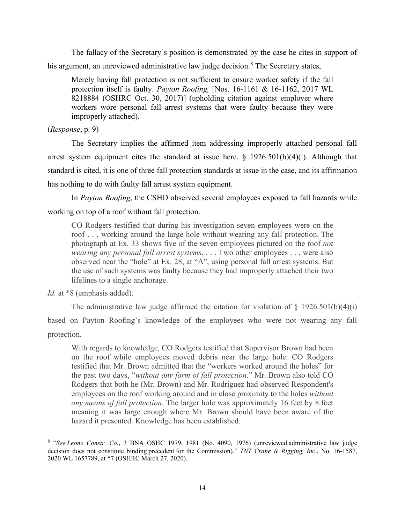The fallacy of the Secretary's position is demonstrated by the case he cites in support of his argument, an unreviewed administrative law judge decision.<sup>[8](#page-13-0)</sup> The Secretary states,

Merely having fall protection is not sufficient to ensure worker safety if the fall protection itself is faulty. *Payton Roofing,* [Nos. 16-1161 & 16-1162, 2017 WL 8218884 (OSHRC Oct. 30, 2017)] (upholding citation against employer where workers wore personal fall arrest systems that were faulty because they were improperly attached).

# (*Response*, p. 9)

The Secretary implies the affirmed item addressing improperly attached personal fall arrest system equipment cites the standard at issue here,  $\frac{1926.501(b)(4)(i)}{24.501(b)(4)(i)}$ . Although that standard is cited, it is one of three fall protection standards at issue in the case, and its affirmation has nothing to do with faulty fall arrest system equipment.

In *Payton Roofing*, the CSHO observed several employees exposed to fall hazards while working on top of a roof without fall protection.

CO Rodgers testified that during his investigation seven employees were on the roof . . . working around the large hole without wearing any fall protection. The photograph at Ex. 33 shows five of the seven employees pictured on the roof *not wearing any personal fall arrest systems*. . . . Two other employees . . . were also observed near the "hole" at Ex. 28, at "A", using personal fall arrest systems. But the use of such systems was faulty because they had improperly attached their two lifelines to a single anchorage.

*Id.* at \*8 (emphasis added).

The administrative law judge affirmed the citation for violation of  $\S$  1926.501(b)(4)(i)

based on Payton Roofing's knowledge of the employees who were not wearing any fall protection.

With regards to knowledge, CO Rodgers testified that Supervisor Brown had been on the roof while employees moved debris near the large hole. CO Rodgers testified that Mr. Brown admitted that the "workers worked around the holes" for the past two days, "*without any form of fall protection*." Mr. Brown also told CO Rodgers that both he (Mr. Brown) and Mr. Rodriguez had observed Respondent's employees on the roof working around and in close proximity to the holes *without any means of fall protection.* The larger hole was approximately 16 feet by 8 feet meaning it was large enough where Mr. Brown should have been aware of the hazard it presented. Knowledge has been established.

<span id="page-13-0"></span><sup>8</sup> "*See Leone Constr. Co.*[, 3 BNA OSHC 1979, 1981 \(No. 4090, 1976\)](https://1.next.westlaw.com/Link/Document/FullText?findType=Y&serNum=1976160827&pubNum=0003227&originatingDoc=Ie957f4f4765311ea8939c1d72268a30f&refType=CA&fi=co_pp_sp_3227_1981&originationContext=document&transitionType=DocumentItem&contextData=(sc.Search)#co_pp_sp_3227_1981) (unreviewed administrative law judge decision does not constitute binding precedent for the Commission)." *TNT Crane & Rigging, Inc.*, No. 16-1587, 2020 WL 1657789, at \*7 (OSHRC March 27, 2020).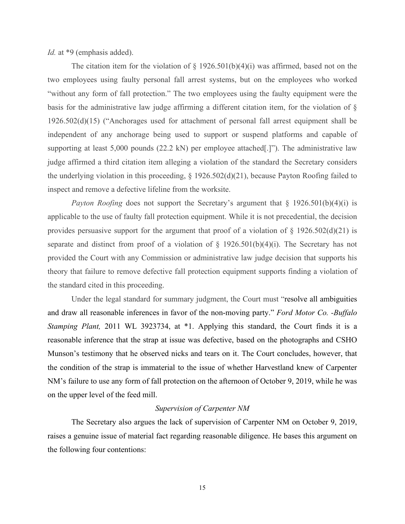*Id.* at \*9 (emphasis added).

The citation item for the violation of  $\S$  1926.501(b)(4)(i) was affirmed, based not on the two employees using faulty personal fall arrest systems, but on the employees who worked "without any form of fall protection." The two employees using the faulty equipment were the basis for the administrative law judge affirming a different citation item, for the violation of § 1926.502(d)(15) ("Anchorages used for attachment of personal fall arrest equipment shall be independent of any anchorage being used to support or suspend platforms and capable of supporting at least 5,000 pounds (22.2 kN) per employee attached[.]"). The administrative law judge affirmed a third citation item alleging a violation of the standard the Secretary considers the underlying violation in this proceeding, § 1926.502(d)(21), because Payton Roofing failed to inspect and remove a defective lifeline from the worksite.

*Payton Roofing* does not support the Secretary's argument that  $\S$  1926.501(b)(4)(i) is applicable to the use of faulty fall protection equipment. While it is not precedential, the decision provides persuasive support for the argument that proof of a violation of  $\S$  1926.502(d)(21) is separate and distinct from proof of a violation of  $\S$  1926.501(b)(4)(i). The Secretary has not provided the Court with any Commission or administrative law judge decision that supports his theory that failure to remove defective fall protection equipment supports finding a violation of the standard cited in this proceeding.

Under the legal standard for summary judgment, the Court must "resolve all ambiguities and draw all reasonable inferences in favor of the non-moving party." *Ford Motor Co. -Buffalo Stamping Plant,* 2011 WL 3923734, at \*1. Applying this standard, the Court finds it is a reasonable inference that the strap at issue was defective, based on the photographs and CSHO Munson's testimony that he observed nicks and tears on it. The Court concludes, however, that the condition of the strap is immaterial to the issue of whether Harvestland knew of Carpenter NM's failure to use any form of fall protection on the afternoon of October 9, 2019, while he was on the upper level of the feed mill.

## *Supervision of Carpenter NM*

The Secretary also argues the lack of supervision of Carpenter NM on October 9, 2019, raises a genuine issue of material fact regarding reasonable diligence. He bases this argument on the following four contentions: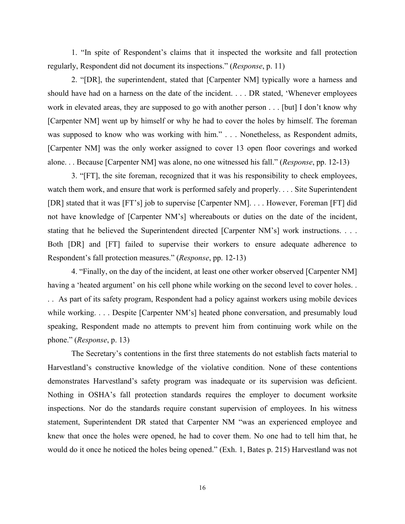1. "In spite of Respondent's claims that it inspected the worksite and fall protection regularly, Respondent did not document its inspections." (*Response*, p. 11)

 2. "[DR], the superintendent, stated that [Carpenter NM] typically wore a harness and should have had on a harness on the date of the incident. . . . DR stated, 'Whenever employees work in elevated areas, they are supposed to go with another person . . . [but] I don't know why [Carpenter NM] went up by himself or why he had to cover the holes by himself. The foreman was supposed to know who was working with him." . . . Nonetheless, as Respondent admits, [Carpenter NM] was the only worker assigned to cover 13 open floor coverings and worked alone. . . Because [Carpenter NM] was alone, no one witnessed his fall." (*Response*, pp. 12-13)

 3. "[FT], the site foreman, recognized that it was his responsibility to check employees, watch them work, and ensure that work is performed safely and properly. . . . Site Superintendent [DR] stated that it was [FT's] job to supervise [Carpenter NM]. . . . However, Foreman [FT] did not have knowledge of [Carpenter NM's] whereabouts or duties on the date of the incident, stating that he believed the Superintendent directed [Carpenter NM's] work instructions. . . . Both [DR] and [FT] failed to supervise their workers to ensure adequate adherence to Respondent's fall protection measures." (*Response*, pp. 12-13)

 4. "Finally, on the day of the incident, at least one other worker observed [Carpenter NM] having a 'heated argument' on his cell phone while working on the second level to cover holes... . . As part of its safety program, Respondent had a policy against workers using mobile devices while working. . . . Despite [Carpenter NM's] heated phone conversation, and presumably loud speaking, Respondent made no attempts to prevent him from continuing work while on the phone." (*Response*, p. 13)

The Secretary's contentions in the first three statements do not establish facts material to Harvestland's constructive knowledge of the violative condition. None of these contentions demonstrates Harvestland's safety program was inadequate or its supervision was deficient. Nothing in OSHA's fall protection standards requires the employer to document worksite inspections. Nor do the standards require constant supervision of employees. In his witness statement, Superintendent DR stated that Carpenter NM "was an experienced employee and knew that once the holes were opened, he had to cover them. No one had to tell him that, he would do it once he noticed the holes being opened." (Exh. 1, Bates p. 215) Harvestland was not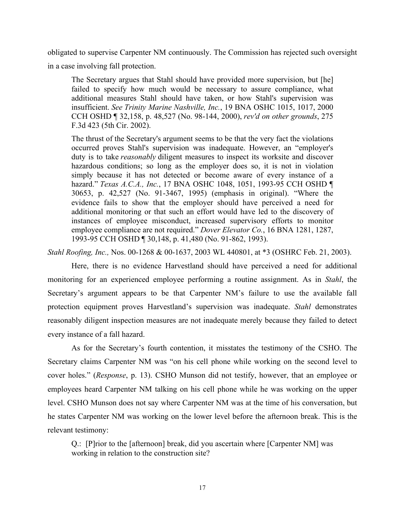obligated to supervise Carpenter NM continuously. The Commission has rejected such oversight in a case involving fall protection.

The Secretary argues that Stahl should have provided more supervision, but [he] failed to specify how much would be necessary to assure compliance, what additional measures Stahl should have taken, or how Stahl's supervision was insufficient. *See Trinity Marine Nashville, Inc.*, 19 BNA OSHC 1015, 1017, 2000 CCH OSHD ¶ 32,158, p. 48,527 (No. 98-144, 2000), *rev'd on other grounds*, 275 F.3d 423 (5th Cir. 2002).

The thrust of the Secretary's argument seems to be that the very fact the violations occurred proves Stahl's supervision was inadequate. However, an "employer's duty is to take *reasonably* diligent measures to inspect its worksite and discover hazardous conditions; so long as the employer does so, it is not in violation simply because it has not detected or become aware of every instance of a hazard." *Texas A.C.A., Inc.*, 17 BNA OSHC 1048, 1051, 1993-95 CCH OSHD ¶ 30653, p. 42,527 (No. 91-3467, 1995) (emphasis in original). "Where the evidence fails to show that the employer should have perceived a need for additional monitoring or that such an effort would have led to the discovery of instances of employee misconduct, increased supervisory efforts to monitor employee compliance are not required." *Dover Elevator Co.*, 16 BNA 1281, 1287, 1993-95 CCH OSHD ¶ 30,148, p. 41,480 (No. 91-862, 1993).

*Stahl Roofing, Inc.,* Nos. 00-1268 & 00-1637, 2003 WL 440801, at \*3 (OSHRC Feb. 21, 2003).

Here, there is no evidence Harvestland should have perceived a need for additional monitoring for an experienced employee performing a routine assignment. As in *Stahl*, the Secretary's argument appears to be that Carpenter NM's failure to use the available fall protection equipment proves Harvestland's supervision was inadequate. *Stahl* demonstrates reasonably diligent inspection measures are not inadequate merely because they failed to detect every instance of a fall hazard.

As for the Secretary's fourth contention, it misstates the testimony of the CSHO. The Secretary claims Carpenter NM was "on his cell phone while working on the second level to cover holes." (*Response*, p. 13). CSHO Munson did not testify, however, that an employee or employees heard Carpenter NM talking on his cell phone while he was working on the upper level. CSHO Munson does not say where Carpenter NM was at the time of his conversation, but he states Carpenter NM was working on the lower level before the afternoon break. This is the relevant testimony:

Q.: [P]rior to the [afternoon] break, did you ascertain where [Carpenter NM] was working in relation to the construction site?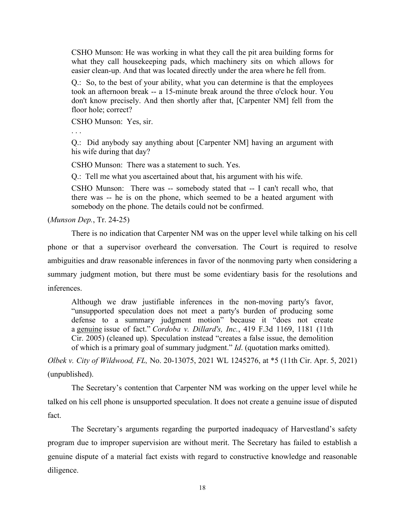CSHO Munson: He was working in what they call the pit area building forms for what they call housekeeping pads, which machinery sits on which allows for easier clean-up. And that was located directly under the area where he fell from.

Q.: So, to the best of your ability, what you can determine is that the employees took an afternoon break -- a 15-minute break around the three o'clock hour. You don't know precisely. And then shortly after that, [Carpenter NM] fell from the floor hole; correct?

CSHO Munson: Yes, sir.

. . .

Q.: Did anybody say anything about [Carpenter NM] having an argument with his wife during that day?

CSHO Munson: There was a statement to such. Yes.

Q.: Tell me what you ascertained about that, his argument with his wife.

CSHO Munson: There was -- somebody stated that -- I can't recall who, that there was -- he is on the phone, which seemed to be a heated argument with somebody on the phone. The details could not be confirmed.

(*Munson Dep.*, Tr. 24-25)

There is no indication that Carpenter NM was on the upper level while talking on his cell phone or that a supervisor overheard the conversation. The Court is required to resolve ambiguities and draw reasonable inferences in favor of the nonmoving party when considering a summary judgment motion, but there must be some evidentiary basis for the resolutions and inferences.

Although we draw justifiable inferences in the non-moving party's favor, "unsupported speculation does not meet a party's burden of producing some defense to a summary judgment motion" because it "does not create a genuine issue of fact." *Cordoba v. Dillard's, Inc.*, 419 F.3d 1169, 1181 (11th Cir. 2005) (cleaned up). Speculation instead "creates a false issue, the demolition of which is a primary goal of summary judgment." *Id*. (quotation marks omitted).

*Olbek v. City of Wildwood, FL,* No. 20-13075, 2021 WL 1245276, at \*5 (11th Cir. Apr. 5, 2021) (unpublished).

The Secretary's contention that Carpenter NM was working on the upper level while he talked on his cell phone is unsupported speculation. It does not create a genuine issue of disputed fact.

The Secretary's arguments regarding the purported inadequacy of Harvestland's safety program due to improper supervision are without merit. The Secretary has failed to establish a genuine dispute of a material fact exists with regard to constructive knowledge and reasonable diligence.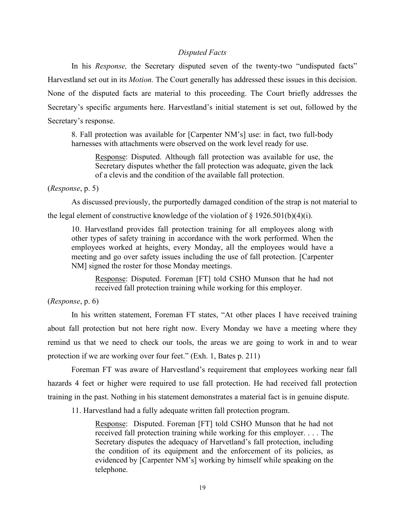## *Disputed Facts*

In his *Response,* the Secretary disputed seven of the twenty-two "undisputed facts" Harvestland set out in its *Motion.* The Court generally has addressed these issues in this decision. None of the disputed facts are material to this proceeding. The Court briefly addresses the Secretary's specific arguments here. Harvestland's initial statement is set out, followed by the Secretary's response.

8. Fall protection was available for [Carpenter NM's] use: in fact, two full-body harnesses with attachments were observed on the work level ready for use.

Response: Disputed. Although fall protection was available for use, the Secretary disputes whether the fall protection was adequate, given the lack of a clevis and the condition of the available fall protection.

(*Response*, p. 5)

As discussed previously, the purportedly damaged condition of the strap is not material to

the legal element of constructive knowledge of the violation of  $\S 1926.501(b)(4)(i)$ .

10. Harvestland provides fall protection training for all employees along with other types of safety training in accordance with the work performed. When the employees worked at heights, every Monday, all the employees would have a meeting and go over safety issues including the use of fall protection. [Carpenter NM] signed the roster for those Monday meetings.

Response: Disputed. Foreman [FT] told CSHO Munson that he had not received fall protection training while working for this employer.

### (*Response*, p. 6)

In his written statement, Foreman FT states, "At other places I have received training about fall protection but not here right now. Every Monday we have a meeting where they remind us that we need to check our tools, the areas we are going to work in and to wear protection if we are working over four feet." (Exh. 1, Bates p. 211)

Foreman FT was aware of Harvestland's requirement that employees working near fall hazards 4 feet or higher were required to use fall protection. He had received fall protection training in the past. Nothing in his statement demonstrates a material fact is in genuine dispute.

11. Harvestland had a fully adequate written fall protection program.

Response: Disputed. Foreman [FT] told CSHO Munson that he had not received fall protection training while working for this employer. . . . The Secretary disputes the adequacy of Harvetland's fall protection, including the condition of its equipment and the enforcement of its policies, as evidenced by [Carpenter NM's] working by himself while speaking on the telephone.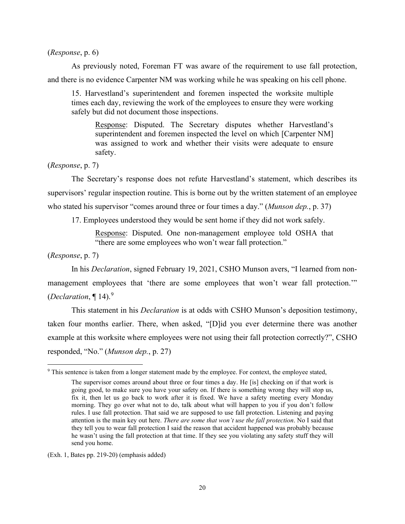(*Response*, p. 6)

As previously noted, Foreman FT was aware of the requirement to use fall protection,

and there is no evidence Carpenter NM was working while he was speaking on his cell phone.

15. Harvestland's superintendent and foremen inspected the worksite multiple times each day, reviewing the work of the employees to ensure they were working safely but did not document those inspections.

Response: Disputed. The Secretary disputes whether Harvestland's superintendent and foremen inspected the level on which [Carpenter NM] was assigned to work and whether their visits were adequate to ensure safety.

(*Response*, p. 7)

The Secretary's response does not refute Harvestland's statement, which describes its supervisors' regular inspection routine. This is borne out by the written statement of an employee who stated his supervisor "comes around three or four times a day." (*Munson dep.*, p. 37)

17. Employees understood they would be sent home if they did not work safely.

Response: Disputed. One non-management employee told OSHA that "there are some employees who won't wear fall protection."

(*Response*, p. 7)

In his *Declaration*, signed February 19, 2021, CSHO Munson avers, "I learned from nonmanagement employees that 'there are some employees that won't wear fall protection.'" (*Declaration*, ¶ 14).[9](#page-19-0)

 This statement in his *Declaration* is at odds with CSHO Munson's deposition testimony, taken four months earlier. There, when asked, "[D]id you ever determine there was another example at this worksite where employees were not using their fall protection correctly?", CSHO responded, "No." (*Munson dep.*, p. 27)

(Exh. 1, Bates pp. 219-20) (emphasis added)

<span id="page-19-0"></span><sup>9</sup> This sentence is taken from a longer statement made by the employee. For context, the employee stated,

The supervisor comes around about three or four times a day. He [is] checking on if that work is going good, to make sure you have your safety on. If there is something wrong they will stop us, fix it, then let us go back to work after it is fixed. We have a safety meeting every Monday morning. They go over what not to do, talk about what will happen to you if you don't follow rules. I use fall protection. That said we are supposed to use fall protection. Listening and paying attention is the main key out here. *There are some that won't use the fall protection*. No I said that they tell you to wear fall protection I said the reason that accident happened was probably because he wasn't using the fall protection at that time. If they see you violating any safety stuff they will send you home.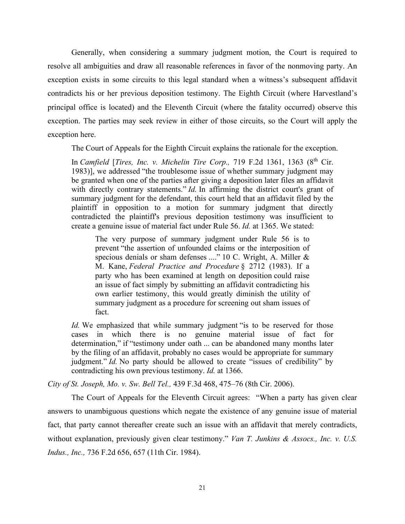Generally, when considering a summary judgment motion, the Court is required to resolve all ambiguities and draw all reasonable references in favor of the nonmoving party. An exception exists in some circuits to this legal standard when a witness's subsequent affidavit contradicts his or her previous deposition testimony. The Eighth Circuit (where Harvestland's principal office is located) and the Eleventh Circuit (where the fatality occurred) observe this exception. The parties may seek review in either of those circuits, so the Court will apply the exception here.

The Court of Appeals for the Eighth Circuit explains the rationale for the exception.

In *Camfield* [*Tires, Inc. v. Michelin Tire Corp.,* 719 F.2d 1361, 1363 (8th Cir. 1983)], we addressed "the troublesome issue of whether summary judgment may be granted when one of the parties after giving a deposition later files an affidavit with directly contrary statements." *Id.* In affirming the district court's grant of summary judgment for the defendant, this court held that an affidavit filed by the plaintiff in opposition to a motion for summary judgment that directly contradicted the plaintiff's previous deposition testimony was insufficient to create a genuine issue of material fact under Rule 56. *Id.* at 1365. We stated:

The very purpose of summary judgment under Rule 56 is to prevent "the assertion of unfounded claims or the interposition of specious denials or sham defenses ...." 10 C. Wright, A. Miller & M. Kane, *Federal Practice and Procedure* § 2712 (1983). If a party who has been examined at length on deposition could raise an issue of fact simply by submitting an affidavit contradicting his own earlier testimony, this would greatly diminish the utility of summary judgment as a procedure for screening out sham issues of fact.

*Id.* We emphasized that while summary judgment "is to be reserved for those cases in which there is no genuine material issue of fact for determination," if "testimony under oath ... can be abandoned many months later by the filing of an affidavit, probably no cases would be appropriate for summary judgment." *Id.* No party should be allowed to create "issues of credibility" by contradicting his own previous testimony. *Id.* at 1366.

*City of St. Joseph, Mo. v. Sw. Bell Tel.,* 439 F.3d 468, 475–76 (8th Cir. 2006).

The Court of Appeals for the Eleventh Circuit agrees: "When a party has given clear answers to unambiguous questions which negate the existence of any genuine issue of material fact, that party cannot thereafter create such an issue with an affidavit that merely contradicts, without explanation, previously given clear testimony." *Van T. Junkins & Assocs., Inc. v. U.S. Indus., Inc.,* 736 F.2d 656, 657 (11th Cir. 1984).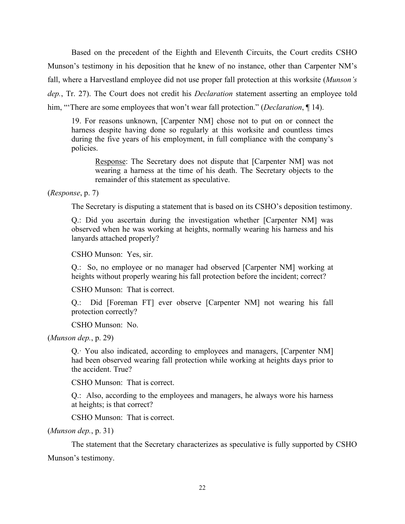Based on the precedent of the Eighth and Eleventh Circuits, the Court credits CSHO Munson's testimony in his deposition that he knew of no instance, other than Carpenter NM's fall, where a Harvestland employee did not use proper fall protection at this worksite (*Munson's dep.*, Tr. 27). The Court does not credit his *Declaration* statement asserting an employee told him, "'There are some employees that won't wear fall protection." (*Declaration*, ¶ 14).

19. For reasons unknown, [Carpenter NM] chose not to put on or connect the harness despite having done so regularly at this worksite and countless times during the five years of his employment, in full compliance with the company's policies.

Response: The Secretary does not dispute that [Carpenter NM] was not wearing a harness at the time of his death. The Secretary objects to the remainder of this statement as speculative.

(*Response*, p. 7)

The Secretary is disputing a statement that is based on its CSHO's deposition testimony.

Q.: Did you ascertain during the investigation whether [Carpenter NM] was observed when he was working at heights, normally wearing his harness and his lanyards attached properly?

CSHO Munson: Yes, sir.

Q.: So, no employee or no manager had observed [Carpenter NM] working at heights without properly wearing his fall protection before the incident; correct?

CSHO Munson: That is correct.

Q.: Did [Foreman FT] ever observe [Carpenter NM] not wearing his fall protection correctly?

CSHO Munson: No.

(*Munson dep.*, p. 29)

Q.· You also indicated, according to employees and managers, [Carpenter NM] had been observed wearing fall protection while working at heights days prior to the accident. True?

CSHO Munson: That is correct.

Q.: Also, according to the employees and managers, he always wore his harness at heights; is that correct?

CSHO Munson: That is correct.

(*Munson dep.*, p. 31)

 The statement that the Secretary characterizes as speculative is fully supported by CSHO Munson's testimony.